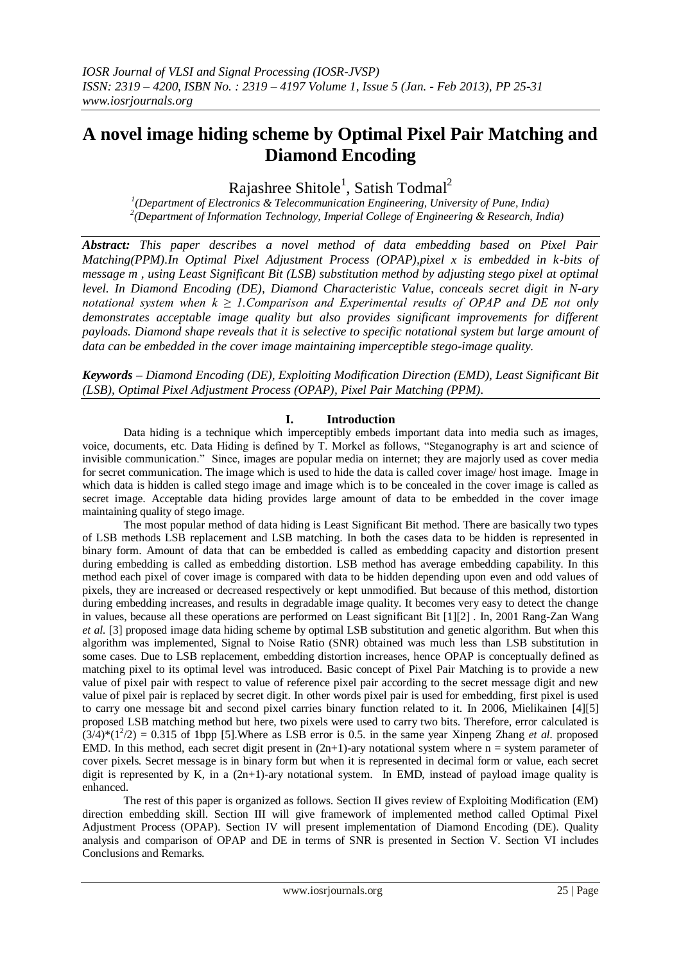# **A novel image hiding scheme by Optimal Pixel Pair Matching and Diamond Encoding**

Rajashree Shitole<sup>1</sup>, Satish Todmal<sup>2</sup>

*1 (Department of Electronics & Telecommunication Engineering, University of Pune, India) 2 (Department of Information Technology, Imperial College of Engineering & Research, India)*

*Abstract: This paper describes a novel method of data embedding based on Pixel Pair Matching(PPM).In Optimal Pixel Adjustment Process (OPAP),pixel x is embedded in k-bits of message m , using Least Significant Bit (LSB) substitution method by adjusting stego pixel at optimal level. In Diamond Encoding (DE), Diamond Characteristic Value, conceals secret digit in N-ary notational system when*  $k \geq 1$ *. Comparison and Experimental results of OPAP and DE not only demonstrates acceptable image quality but also provides significant improvements for different payloads. Diamond shape reveals that it is selective to specific notational system but large amount of data can be embedded in the cover image maintaining imperceptible stego-image quality.*

*Keywords – Diamond Encoding (DE), Exploiting Modification Direction (EMD), Least Significant Bit (LSB), Optimal Pixel Adjustment Process (OPAP), Pixel Pair Matching (PPM).*

# **I. Introduction**

Data hiding is a technique which imperceptibly embeds important data into media such as images, voice, documents, etc. Data Hiding is defined by T. Morkel as follows, "Steganography is art and science of invisible communication." Since, images are popular media on internet; they are majorly used as cover media for secret communication. The image which is used to hide the data is called cover image/ host image. Image in which data is hidden is called stego image and image which is to be concealed in the cover image is called as secret image. Acceptable data hiding provides large amount of data to be embedded in the cover image maintaining quality of stego image.

The most popular method of data hiding is Least Significant Bit method. There are basically two types of LSB methods LSB replacement and LSB matching. In both the cases data to be hidden is represented in binary form. Amount of data that can be embedded is called as embedding capacity and distortion present during embedding is called as embedding distortion. LSB method has average embedding capability. In this method each pixel of cover image is compared with data to be hidden depending upon even and odd values of pixels, they are increased or decreased respectively or kept unmodified. But because of this method, distortion during embedding increases, and results in degradable image quality. It becomes very easy to detect the change in values, because all these operations are performed on Least significant Bit [1][2] . In, 2001 Rang-Zan Wang *et al.* [3] proposed image data hiding scheme by optimal LSB substitution and genetic algorithm. But when this algorithm was implemented, Signal to Noise Ratio (SNR) obtained was much less than LSB substitution in some cases. Due to LSB replacement, embedding distortion increases, hence OPAP is conceptually defined as matching pixel to its optimal level was introduced. Basic concept of Pixel Pair Matching is to provide a new value of pixel pair with respect to value of reference pixel pair according to the secret message digit and new value of pixel pair is replaced by secret digit. In other words pixel pair is used for embedding, first pixel is used to carry one message bit and second pixel carries binary function related to it. In 2006, Mielikainen [4][5] proposed LSB matching method but here, two pixels were used to carry two bits. Therefore, error calculated is  $(3/4)*(1^2/2) = 0.315$  of 1bpp [5]. Where as LSB error is 0.5. in the same year Xinpeng Zhang *et al.* proposed EMD. In this method, each secret digit present in  $(2n+1)$ -ary notational system where n = system parameter of cover pixels. Secret message is in binary form but when it is represented in decimal form or value, each secret digit is represented by K, in a  $(2n+1)$ -ary notational system. In EMD, instead of payload image quality is enhanced.

The rest of this paper is organized as follows. Section II gives review of Exploiting Modification (EM) direction embedding skill. Section III will give framework of implemented method called Optimal Pixel Adjustment Process (OPAP). Section IV will present implementation of Diamond Encoding (DE). Quality analysis and comparison of OPAP and DE in terms of SNR is presented in Section V. Section VI includes Conclusions and Remarks.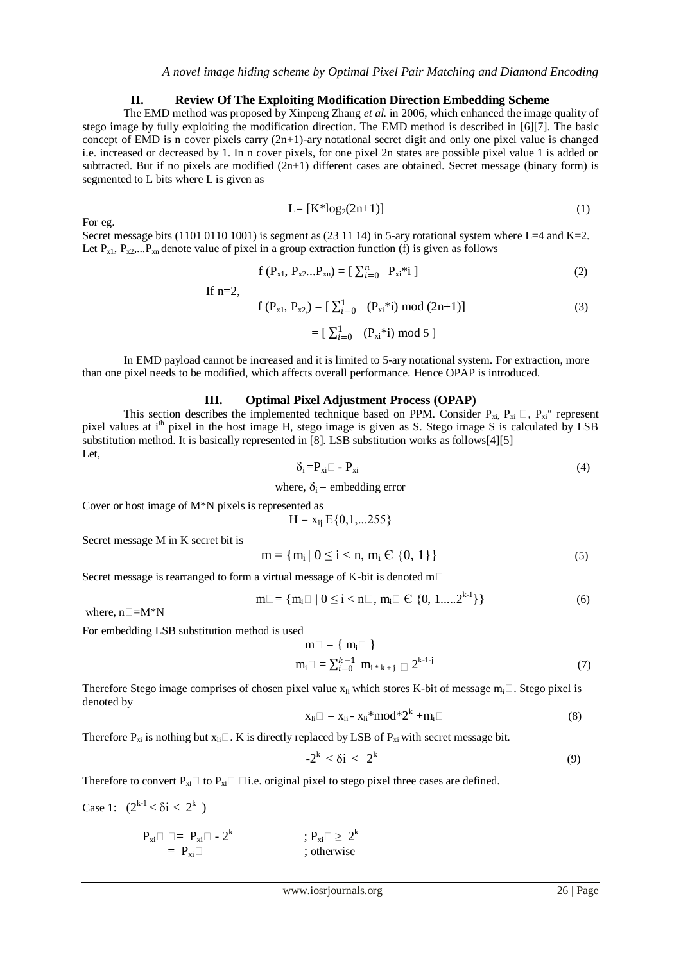# **II. Review Of The Exploiting Modification Direction Embedding Scheme**

The EMD method was proposed by Xinpeng Zhang *et al.* in 2006, which enhanced the image quality of stego image by fully exploiting the modification direction. The EMD method is described in [6][7]. The basic concept of EMD is n cover pixels carry (2n+1)-ary notational secret digit and only one pixel value is changed i.e. increased or decreased by 1. In n cover pixels, for one pixel 2n states are possible pixel value 1 is added or subtracted. But if no pixels are modified  $(2n+1)$  different cases are obtained. Secret message (binary form) is segmented to L bits where L is given as

$$
L = [K^*log_2(2n+1)] \tag{1}
$$

Secret message bits (1101 0110 1001) is segment as (23 11 14) in 5-ary rotational system where L=4 and K=2. Let  $P_{x1}$ ,  $P_{x2}$ ,... $P_{xn}$  denote value of pixel in a group extraction function (f) is given as follows

$$
f(P_{x1}, P_{x2}...P_{xn}) = [\sum_{i=0}^{n} P_{xi}^{*i}]
$$
 (2)

If  $n=2$ ,

$$
f(P_{x1}, P_{x2}) = [\sum_{i=0}^{1} (P_{xi} * i) \text{ mod } (2n+1)]
$$
 (3)

$$
= [\ \Sigma_{i=0}^1 \quad (\mathrm{P}_{\mathrm{x}i}^{\mathrm{*}}i) \ \mathrm{mod} \ 5 \ ]
$$

In EMD payload cannot be increased and it is limited to 5-ary notational system. For extraction, more than one pixel needs to be modified, which affects overall performance. Hence OPAP is introduced.

### **III. Optimal Pixel Adjustment Process (OPAP)**

This section describes the implemented technique based on PPM. Consider  $P_{xi}$ ,  $P_{xi} \square$ ,  $P_{xi}$ <sup>"</sup> represent pixel values at i<sup>th</sup> pixel in the host image H, stego image is given as S. Stego image S is calculated by LSB substitution method. It is basically represented in [8]. LSB substitution works as follows[4][5] Let,

$$
\delta_i = P_{xi} \Box - P_{xi} \tag{4}
$$

where,  $\delta_i$  = embedding error

Cover or host image of M\*N pixels is represented as

$$
H = x_{ij} E\{0, 1, \ldots 255\}
$$

Secret message M in K secret bit is

$$
m = \{m_i \mid 0 \le i < n, \, m_i \in \{0, 1\}\}\tag{5}
$$

Secret message is rearranged to form a virtual message of K-bit is denoted m $\Box$ 

$$
m \Box = \{ m_i \Box \mid 0 \leq i < n \Box, m_i \Box \in \{0, 1, \ldots, 2^{k-1}\} \} \tag{6}
$$

where,  $n\Box=M^*N$ 

For eg.

For embedding LSB substitution method is used

$$
m \square = \{ m_i \square \}
$$
  
\n
$$
m_i \square = \sum_{i=0}^{k-1} m_{i^*k+j} \square 2^{k \cdot 1 \cdot j}
$$
 (7)

Therefore Stego image comprises of chosen pixel value  $x_i$  which stores K-bit of message  $m_i \Box$ . Stego pixel is denoted by

$$
x_{li} \square = x_{li} - x_{li} * mod * 2^k + m_i \square
$$
 (8)

Therefore  $P_{xi}$  is nothing but  $x_{li}$ . K is directly replaced by LSB of  $P_{xi}$  with secret message bit.

$$
-2^k < \delta i < 2^k \tag{9}
$$

Therefore to convert  $P_{xi} \Box$  to  $P_{xi} \Box$   $\Box$  i.e. original pixel to stego pixel three cases are defined.

Case 1:  $(2^{k-1} < \delta i < 2^k)$ 

$$
\begin{array}{ll} P_{xi} \Box \ \Box = \ P_{xi} \Box - 2^k & \quad ; \ P_{xi} \Box \geq \ 2^k \\ & = \ P_{xi} \Box & \quad ; \ \text{otherwise} \end{array}
$$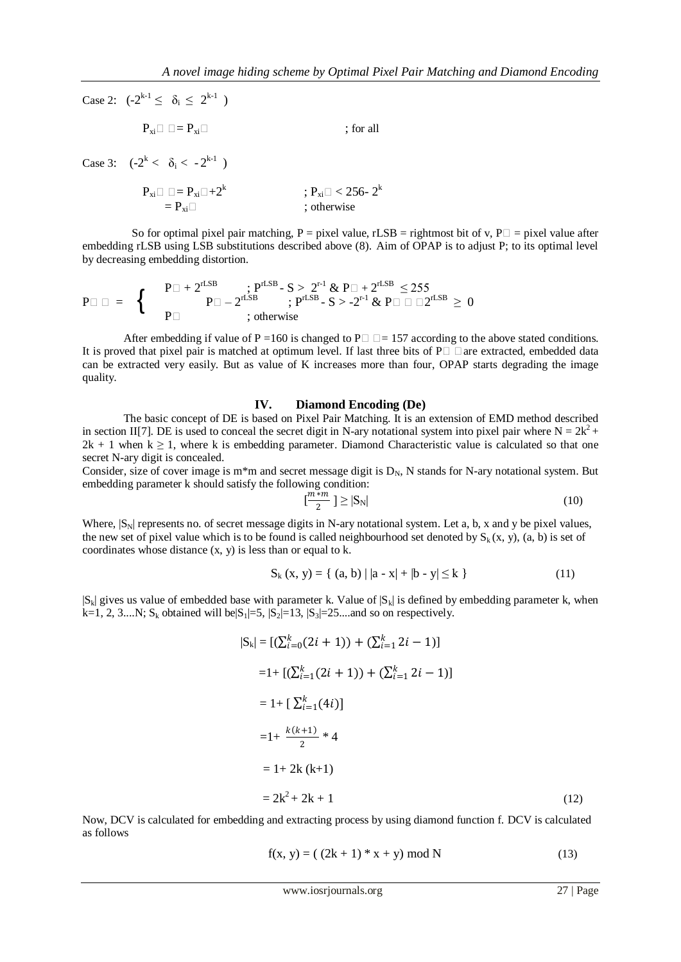Case 2:  $(-2^{k-1} \le \delta_i \le 2^{k-1})$ 

$$
P_{xi} \Box \Box = P_{xi} \Box \qquad ; \text{ for all }
$$

Case 3:  $(-2^k < \delta_i < -2^{k-1})$ 

$$
\begin{aligned} P_{xi} \Box \Box &= P_{xi} \Box + 2^k & ; \ P_{xi} \Box < 256 \text{-} \ 2^k \\ &= P_{xi} \Box \end{aligned}
$$

So for optimal pixel pair matching, P = pixel value, rLSB = rightmost bit of v, P $\Box$  = pixel value after embedding rLSB using LSB substitutions described above (8). Aim of OPAP is to adjust P; to its optimal level by decreasing embedding distortion.

$$
P\Box\ \Box\ =\ \left\{\begin{array}{c}P\Box+2^{rLSB}&;P^{rLSB}-S>2^{r\cdot 1}\ \&\ P\Box+2^{rLSB}\leq 255\\ P\Box-2^{rLSB}&;P^{rLSB}-S>2^{r\cdot 1}\ \&\ P\Box\ \Box\ \Box 2^{rLSB}\geq 0\\ \text{; otherwise}\end{array}\right.
$$

After embedding if value of P = 160 is changed to P $\Box$  = 157 according to the above stated conditions. It is proved that pixel pair is matched at optimum level. If last three bits of  $P\Box$   $\Box$  are extracted, embedded data can be extracted very easily. But as value of K increases more than four, OPAP starts degrading the image quality.

#### **IV. Diamond Encoding (De)**

The basic concept of DE is based on Pixel Pair Matching. It is an extension of EMD method described in section II[7]. DE is used to conceal the secret digit in N-ary notational system into pixel pair where  $N = 2k^2 +$  $2k + 1$  when  $k \ge 1$ , where k is embedding parameter. Diamond Characteristic value is calculated so that one secret N-ary digit is concealed.

Consider, size of cover image is m<sup>\*</sup>m and secret message digit is  $D_N$ , N stands for N-ary notational system. But embedding parameter k should satisfy the following condition:

$$
\left[\frac{m+m}{2}\right] \ge |\mathbf{S}_{\mathbf{N}}| \tag{10}
$$

Where,  $|S_N|$  represents no. of secret message digits in N-ary notational system. Let a, b, x and y be pixel values, the new set of pixel value which is to be found is called neighbourhood set denoted by  $S_k(x, y)$ , (a, b) is set of coordinates whose distance  $(x, y)$  is less than or equal to k.

$$
S_k(x, y) = \{ (a, b) | |a - x| + |b - y| \le k \}
$$
 (11)

 $|S_k|$  gives us value of embedded base with parameter k. Value of  $|S_k|$  is defined by embedding parameter k, when k=1, 2, 3....N; S<sub>k</sub> obtained will be|S<sub>1</sub>|=5,  $|S_2|$ =13,  $|S_3|$ =25....and so on respectively.

$$
|S_k| = [(\sum_{i=0}^k (2i + 1)) + (\sum_{i=1}^k 2i - 1)]
$$
  
\n
$$
= 1 + [(\sum_{i=1}^k (2i + 1)) + (\sum_{i=1}^k 2i - 1)]
$$
  
\n
$$
= 1 + [\sum_{i=1}^k (4i)]
$$
  
\n
$$
= 1 + \frac{k(k+1)}{2} * 4
$$
  
\n
$$
= 1 + 2k (k+1)
$$
  
\n
$$
= 2k^2 + 2k + 1
$$
 (12)

Now, DCV is calculated for embedding and extracting process by using diamond function f. DCV is calculated as follows

$$
f(x, y) = ( (2k + 1) * x + y) \bmod N
$$
 (13)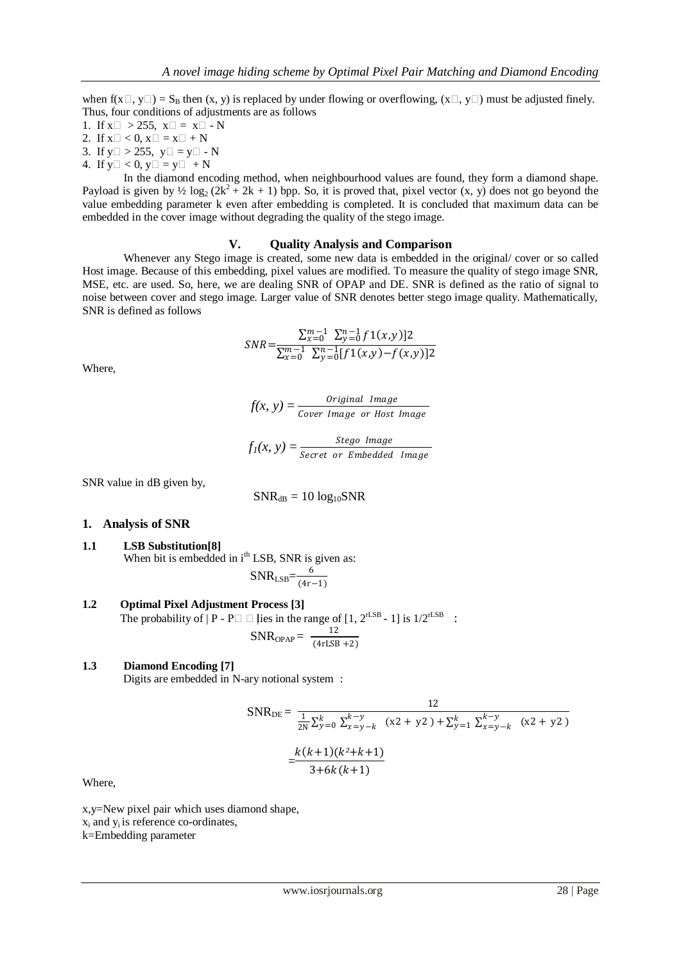when  $f(x \Box, y \Box) = S_B$  then  $(x, y)$  is replaced by under flowing or overflowing,  $(x \Box, y \Box)$  must be adjusted finely. Thus, four conditions of adjustments are as follows

- 1. If  $x \square > 255$ ,  $x \square = x \square N$
- 2. If  $x \square < 0$ ,  $x \square = x \square + N$
- 3. If  $y \square > 255$ ,  $y \square = y \square N$
- 4. If  $y \square < 0$ ,  $y \square = y \square + N$

In the diamond encoding method, when neighbourhood values are found, they form a diamond shape. Payload is given by  $\frac{1}{2} \log_2(2k^2 + 2k + 1)$  bpp. So, it is proved that, pixel vector  $(x, y)$  does not go beyond the value embedding parameter k even after embedding is completed. It is concluded that maximum data can be embedded in the cover image without degrading the quality of the stego image.

### **V. Quality Analysis and Comparison**

Whenever any Stego image is created, some new data is embedded in the original/ cover or so called Host image. Because of this embedding, pixel values are modified. To measure the quality of stego image SNR, MSE, etc. are used. So, here, we are dealing SNR of OPAP and DE. SNR is defined as the ratio of signal to noise between cover and stego image. Larger value of SNR denotes better stego image quality. Mathematically, SNR is defined as follows

$$
SNR = \frac{\sum_{x=0}^{m-1} \sum_{y=0}^{n-1} f(x,y)|2}{\sum_{x=0}^{m-1} \sum_{y=0}^{n-1} [f(x,y) - f(x,y)]2}
$$

Where,

$$
f(x, y) = \frac{Original\ Image}{Cover\ Image\ or\ Host\ Image}
$$

 $f_1(x, y) = \frac{Step \ Image}{Step \ Image}$ Secret or Embedded Image

 $(4rLSB + 2)$ 

SNR value in dB given by,

$$
SNR_{dB} = 10 \log_{10} SNR
$$

## **1. Analysis of SNR**

**1.1 LSB Substitution[8]** When bit is embedded in  $i<sup>th</sup>$  LSB, SNR is given as:  $\overline{S}$ 6

$$
NR_{LSB}=\frac{6}{(4r-1)}
$$

**1.2 Optimal Pixel Adjustment Process [3]** The probability of  $|P - P \square \square$  lies in the range of  $[1, 2^{rLSB} - 1]$  is  $1/2^{rLSB}$  :  $SNR_{OPAP} = \frac{12}{(4 \pi 1.5E)}$ 

#### **1.3 Diamond Encoding [7]** Digits are embedded in N-ary notional system :

$$
SNR_{DE} = \frac{12}{\frac{1}{2N} \sum_{y=0}^{k} \sum_{x=y-k}^{k-y} (x^{2} + y^{2}) + \sum_{y=1}^{k} \sum_{x=y-k}^{k-y} (x^{2} + y^{2})}
$$

$$
= \frac{k(k+1)(k^{2} + k + 1)}{3 + 6k(k+1)}
$$

Where,

x,y=New pixel pair which uses diamond shape,  $x_i$  and  $y_i$  is reference co-ordinates, k=Embedding parameter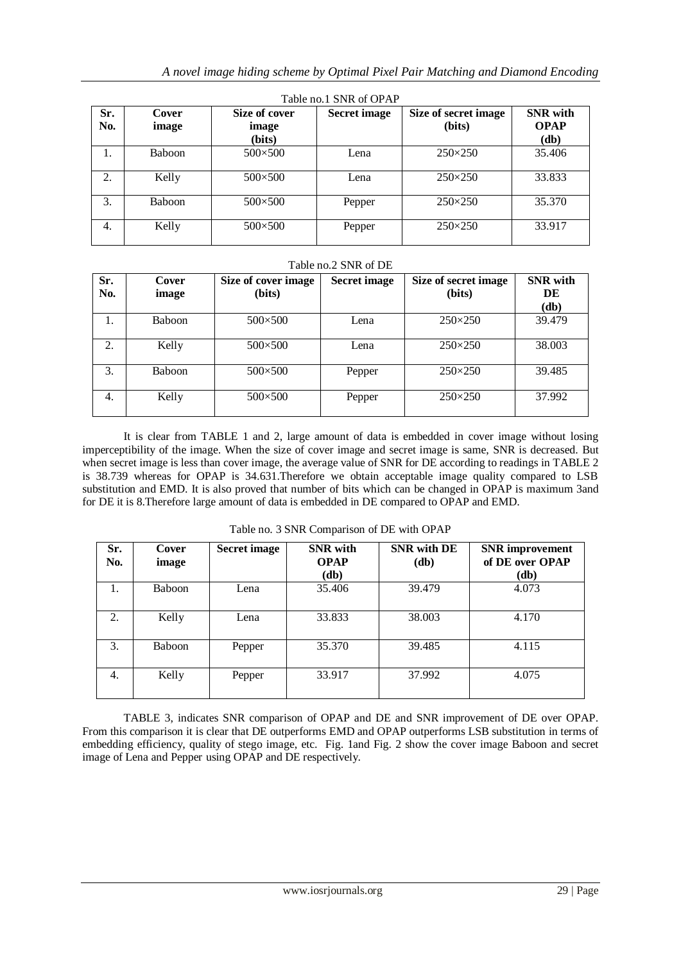| Table no.1 SNR of OPAP |                |                                  |                     |                                |                                                 |  |  |  |
|------------------------|----------------|----------------------------------|---------------------|--------------------------------|-------------------------------------------------|--|--|--|
| Sr.<br>No.             | Cover<br>image | Size of cover<br>image<br>(bits) | <b>Secret image</b> | Size of secret image<br>(bits) | <b>SNR</b> with<br><b>OPAP</b><br>(d <b>b</b> ) |  |  |  |
| Ι.                     | <b>Baboon</b>  | $500 \times 500$                 | Lena                | $250 \times 250$               | 35.406                                          |  |  |  |
| 2.                     | Kelly          | $500 \times 500$                 | Lena                | $250 \times 250$               | 33.833                                          |  |  |  |
| 3.                     | <b>Baboon</b>  | $500 \times 500$                 | Pepper              | $250 \times 250$               | 35.370                                          |  |  |  |
| 4.                     | Kelly          | $500 \times 500$                 | Pepper              | $250 \times 250$               | 33.917                                          |  |  |  |

#### Table no.2 SNR of DE

| Sr.<br>No. | Cover<br>image | Size of cover image<br>(bits) | <b>Secret image</b> | Size of secret image<br>(bits) | <b>SNR</b> with<br>DE<br>$(db)$ |
|------------|----------------|-------------------------------|---------------------|--------------------------------|---------------------------------|
| 1.         | <b>Baboon</b>  | $500 \times 500$              | Lena                | $250 \times 250$               | 39.479                          |
| 2.         | Kelly          | $500 \times 500$              | Lena                | $250 \times 250$               | 38.003                          |
| 3.         | <b>Baboon</b>  | $500 \times 500$              | Pepper              | $250 \times 250$               | 39.485                          |
| 4.         | Kelly          | $500 \times 500$              | Pepper              | $250 \times 250$               | 37.992                          |

It is clear from TABLE 1 and 2, large amount of data is embedded in cover image without losing imperceptibility of the image. When the size of cover image and secret image is same, SNR is decreased. But when secret image is less than cover image, the average value of SNR for DE according to readings in TABLE 2 is 38.739 whereas for OPAP is 34.631.Therefore we obtain acceptable image quality compared to LSB substitution and EMD. It is also proved that number of bits which can be changed in OPAP is maximum 3and for DE it is 8.Therefore large amount of data is embedded in DE compared to OPAP and EMD.

| Sr.<br>No. | Cover<br>image | <b>Secret image</b> | <b>SNR</b> with<br><b>OPAP</b><br>$(db)$ | <b>SNR</b> with DE<br>$(db)$ | <b>SNR</b> improvement<br>of DE over OPAP<br>(db) |
|------------|----------------|---------------------|------------------------------------------|------------------------------|---------------------------------------------------|
| 1.         | Baboon         | Lena                | 35.406                                   | 39.479                       | 4.073                                             |
| 2.         | Kelly          | Lena                | 33.833                                   | 38.003                       | 4.170                                             |
| 3.         | <b>Baboon</b>  | Pepper              | 35.370                                   | 39.485                       | 4.115                                             |
| 4.         | Kelly          | Pepper              | 33.917                                   | 37.992                       | 4.075                                             |

Table no. 3 SNR Comparison of DE with OPAP

TABLE 3, indicates SNR comparison of OPAP and DE and SNR improvement of DE over OPAP. From this comparison it is clear that DE outperforms EMD and OPAP outperforms LSB substitution in terms of embedding efficiency, quality of stego image, etc. Fig. 1and Fig. 2 show the cover image Baboon and secret image of Lena and Pepper using OPAP and DE respectively.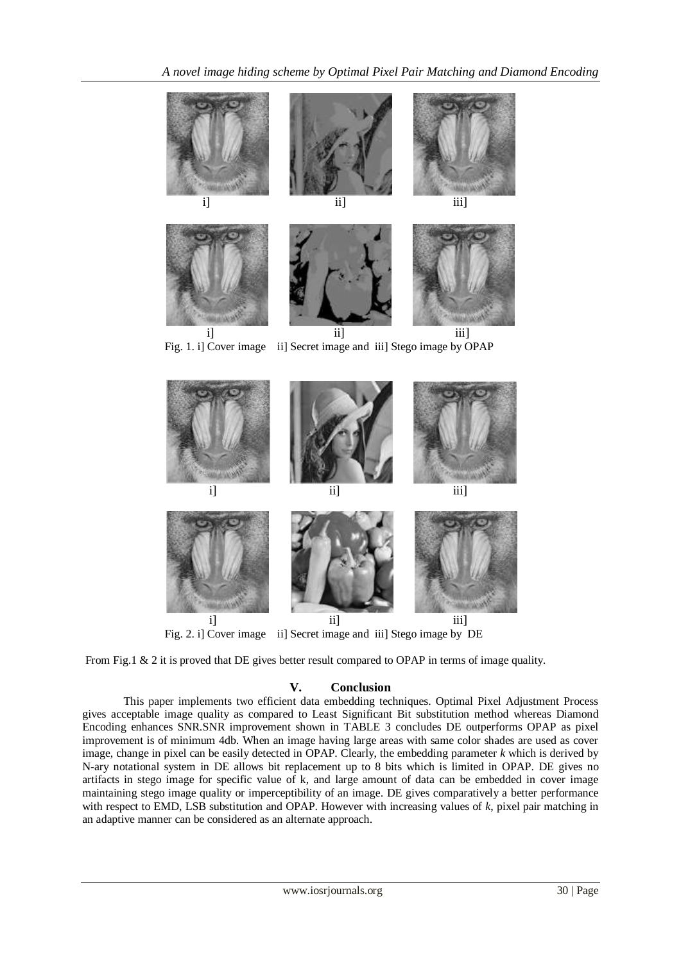

Fig. 1. i] Cover image ii] Secret image and iii] Stego image by OPAP



From Fig.1 & 2 it is proved that DE gives better result compared to OPAP in terms of image quality.

# **V. Conclusion**

This paper implements two efficient data embedding techniques. Optimal Pixel Adjustment Process gives acceptable image quality as compared to Least Significant Bit substitution method whereas Diamond Encoding enhances SNR.SNR improvement shown in TABLE 3 concludes DE outperforms OPAP as pixel improvement is of minimum 4db. When an image having large areas with same color shades are used as cover image, change in pixel can be easily detected in OPAP. Clearly, the embedding parameter *k* which is derived by N-ary notational system in DE allows bit replacement up to 8 bits which is limited in OPAP. DE gives no artifacts in stego image for specific value of k, and large amount of data can be embedded in cover image maintaining stego image quality or imperceptibility of an image. DE gives comparatively a better performance with respect to EMD, LSB substitution and OPAP. However with increasing values of *k*, pixel pair matching in an adaptive manner can be considered as an alternate approach.